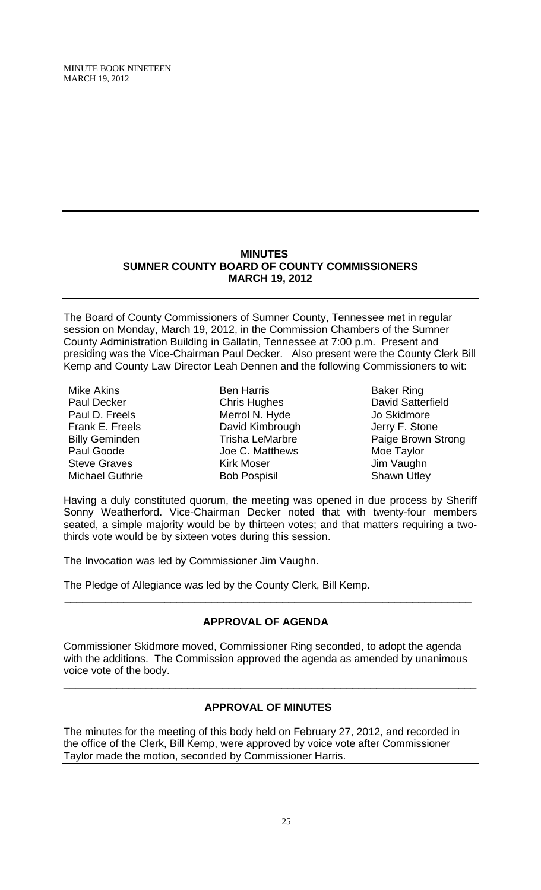MINUTE BOOK NINETEEN MARCH 19, 2012

# **MINUTES SUMNER COUNTY BOARD OF COUNTY COMMISSIONERS MARCH 19, 2012**

The Board of County Commissioners of Sumner County, Tennessee met in regular session on Monday, March 19, 2012, in the Commission Chambers of the Sumner County Administration Building in Gallatin, Tennessee at 7:00 p.m. Present and presiding was the Vice-Chairman Paul Decker. Also present were the County Clerk Bill Kemp and County Law Director Leah Dennen and the following Commissioners to wit:

Mike Akins Paul Decker Paul D. Freels Frank E. Freels Billy Geminden Paul Goode Steve Graves Michael Guthrie

Ben Harris Chris Hughes Merrol N. Hyde David Kimbrough Trisha LeMarbre Joe C. Matthews Kirk Moser Bob Pospisil

Baker Ring David Satterfield Jo Skidmore Jerry F. Stone Paige Brown Strong Moe Taylor Jim Vaughn Shawn Utley

Having a duly constituted quorum, the meeting was opened in due process by Sheriff Sonny Weatherford. Vice-Chairman Decker noted that with twenty-four members seated, a simple majority would be by thirteen votes; and that matters requiring a twothirds vote would be by sixteen votes during this session.

The Invocation was led by Commissioner Jim Vaughn.

The Pledge of Allegiance was led by the County Clerk, Bill Kemp.

# **APPROVAL OF AGENDA**

 $\overline{\phantom{a}}$  , and the contribution of the contribution of the contribution of the contribution of the contribution of the contribution of the contribution of the contribution of the contribution of the contribution of the

Commissioner Skidmore moved, Commissioner Ring seconded, to adopt the agenda with the additions. The Commission approved the agenda as amended by unanimous voice vote of the body.

# **APPROVAL OF MINUTES**

\_\_\_\_\_\_\_\_\_\_\_\_\_\_\_\_\_\_\_\_\_\_\_\_\_\_\_\_\_\_\_\_\_\_\_\_\_\_\_\_\_\_\_\_\_\_\_\_\_\_\_\_\_\_\_\_\_\_\_\_\_\_\_\_\_\_\_\_\_\_

The minutes for the meeting of this body held on February 27, 2012, and recorded in the office of the Clerk, Bill Kemp, were approved by voice vote after Commissioner Taylor made the motion, seconded by Commissioner Harris.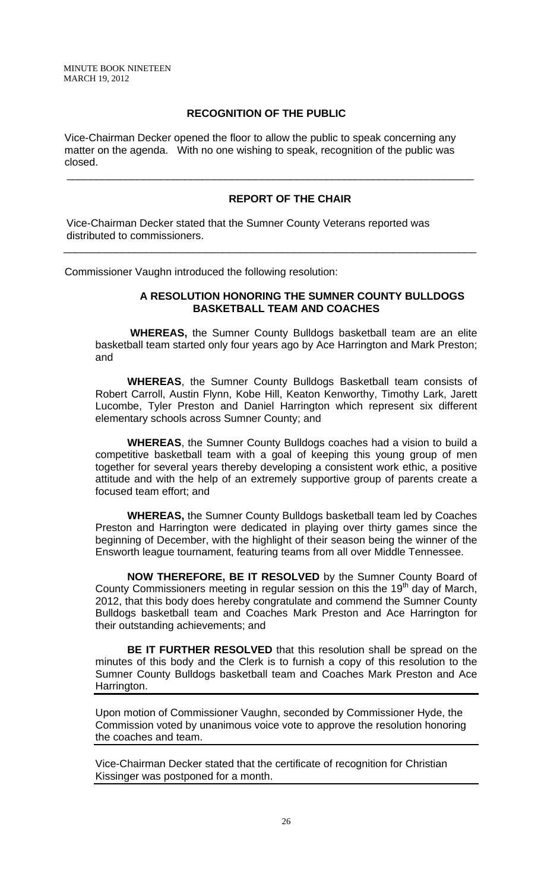# **RECOGNITION OF THE PUBLIC**

 Vice-Chairman Decker opened the floor to allow the public to speak concerning any matter on the agenda. With no one wishing to speak, recognition of the public was closed.

\_\_\_\_\_\_\_\_\_\_\_\_\_\_\_\_\_\_\_\_\_\_\_\_\_\_\_\_\_\_\_\_\_\_\_\_\_\_\_\_\_\_\_\_\_\_\_\_\_\_\_\_\_\_\_\_\_\_\_\_\_\_\_\_\_\_\_\_\_

\_\_\_\_\_\_\_\_\_\_\_\_\_\_\_\_\_\_\_\_\_\_\_\_\_\_\_\_\_\_\_\_\_\_\_\_\_\_\_\_\_\_\_\_\_\_\_\_\_\_\_\_\_\_\_\_\_\_\_\_\_\_\_\_\_\_\_\_\_\_

# **REPORT OF THE CHAIR**

 Vice-Chairman Decker stated that the Sumner County Veterans reported was distributed to commissioners.

Commissioner Vaughn introduced the following resolution:

# **A RESOLUTION HONORING THE SUMNER COUNTY BULLDOGS BASKETBALL TEAM AND COACHES**

 **WHEREAS,** the Sumner County Bulldogs basketball team are an elite basketball team started only four years ago by Ace Harrington and Mark Preston; and

**WHEREAS**, the Sumner County Bulldogs Basketball team consists of Robert Carroll, Austin Flynn, Kobe Hill, Keaton Kenworthy, Timothy Lark, Jarett Lucombe, Tyler Preston and Daniel Harrington which represent six different elementary schools across Sumner County; and

**WHEREAS**, the Sumner County Bulldogs coaches had a vision to build a competitive basketball team with a goal of keeping this young group of men together for several years thereby developing a consistent work ethic, a positive attitude and with the help of an extremely supportive group of parents create a focused team effort; and

**WHEREAS,** the Sumner County Bulldogs basketball team led by Coaches Preston and Harrington were dedicated in playing over thirty games since the beginning of December, with the highlight of their season being the winner of the Ensworth league tournament, featuring teams from all over Middle Tennessee.

**NOW THEREFORE, BE IT RESOLVED** by the Sumner County Board of County Commissioners meeting in regular session on this the  $19<sup>th</sup>$  day of March, 2012, that this body does hereby congratulate and commend the Sumner County Bulldogs basketball team and Coaches Mark Preston and Ace Harrington for their outstanding achievements; and

**BE IT FURTHER RESOLVED** that this resolution shall be spread on the minutes of this body and the Clerk is to furnish a copy of this resolution to the Sumner County Bulldogs basketball team and Coaches Mark Preston and Ace Harrington.

Upon motion of Commissioner Vaughn, seconded by Commissioner Hyde, the Commission voted by unanimous voice vote to approve the resolution honoring the coaches and team.

Vice-Chairman Decker stated that the certificate of recognition for Christian Kissinger was postponed for a month.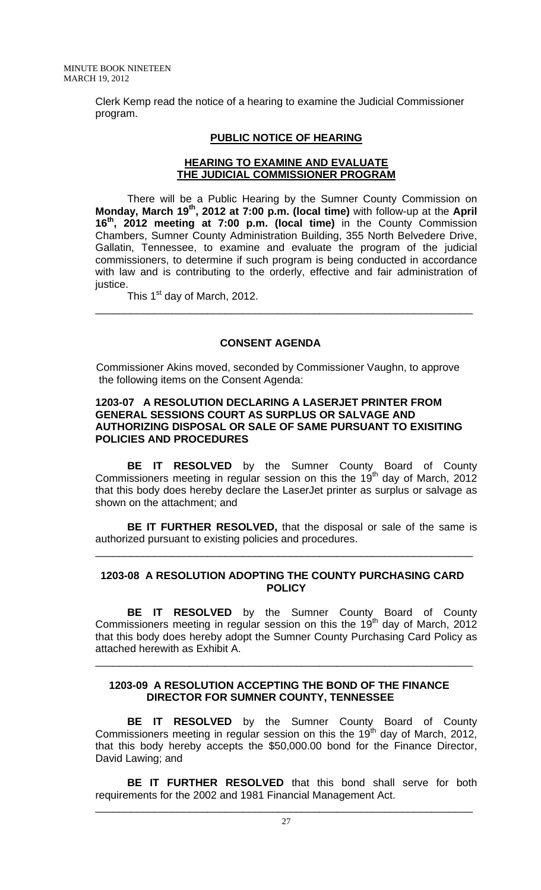Clerk Kemp read the notice of a hearing to examine the Judicial Commissioner program.

## **PUBLIC NOTICE OF HEARING**

# **HEARING TO EXAMINE AND EVALUATE THE JUDICIAL COMMISSIONER PROGRAM**

 There will be a Public Hearing by the Sumner County Commission on **Monday, March 19th, 2012 at 7:00 p.m. (local time)** with follow-up at the **April 16th, 2012 meeting at 7:00 p.m. (local time)** in the County Commission Chambers, Sumner County Administration Building, 355 North Belvedere Drive, Gallatin, Tennessee, to examine and evaluate the program of the judicial commissioners, to determine if such program is being conducted in accordance with law and is contributing to the orderly, effective and fair administration of justice.

\_\_\_\_\_\_\_\_\_\_\_\_\_\_\_\_\_\_\_\_\_\_\_\_\_\_\_\_\_\_\_\_\_\_\_\_\_\_\_\_\_\_\_\_\_\_\_\_\_\_\_\_\_\_\_\_\_\_\_\_\_\_\_\_

This 1<sup>st</sup> day of March, 2012.

# **CONSENT AGENDA**

 Commissioner Akins moved, seconded by Commissioner Vaughn, to approve the following items on the Consent Agenda:

## **1203-07 A RESOLUTION DECLARING A LASERJET PRINTER FROM GENERAL SESSIONS COURT AS SURPLUS OR SALVAGE AND AUTHORIZING DISPOSAL OR SALE OF SAME PURSUANT TO EXISITING POLICIES AND PROCEDURES**

**BE IT RESOLVED** by the Sumner County Board of County Commissioners meeting in regular session on this the 19th day of March, 2012 that this body does hereby declare the LaserJet printer as surplus or salvage as shown on the attachment; and

**BE IT FURTHER RESOLVED,** that the disposal or sale of the same is authorized pursuant to existing policies and procedures.

\_\_\_\_\_\_\_\_\_\_\_\_\_\_\_\_\_\_\_\_\_\_\_\_\_\_\_\_\_\_\_\_\_\_\_\_\_\_\_\_\_\_\_\_\_\_\_\_\_\_\_\_\_\_\_\_\_\_\_\_\_\_\_\_

# **1203-08 A RESOLUTION ADOPTING THE COUNTY PURCHASING CARD POLICY**

**BE IT RESOLVED** by the Sumner County Board of County Commissioners meeting in regular session on this the 19<sup>th</sup> day of March, 2012 that this body does hereby adopt the Sumner County Purchasing Card Policy as attached herewith as Exhibit A.

\_\_\_\_\_\_\_\_\_\_\_\_\_\_\_\_\_\_\_\_\_\_\_\_\_\_\_\_\_\_\_\_\_\_\_\_\_\_\_\_\_\_\_\_\_\_\_\_\_\_\_\_\_\_\_\_\_\_\_\_\_\_\_\_

# **1203-09 A RESOLUTION ACCEPTING THE BOND OF THE FINANCE DIRECTOR FOR SUMNER COUNTY, TENNESSEE**

**BE IT RESOLVED** by the Sumner County Board of County Commissioners meeting in regular session on this the  $19<sup>th</sup>$  day of March, 2012, that this body hereby accepts the \$50,000.00 bond for the Finance Director, David Lawing; and

**BE IT FURTHER RESOLVED** that this bond shall serve for both requirements for the 2002 and 1981 Financial Management Act.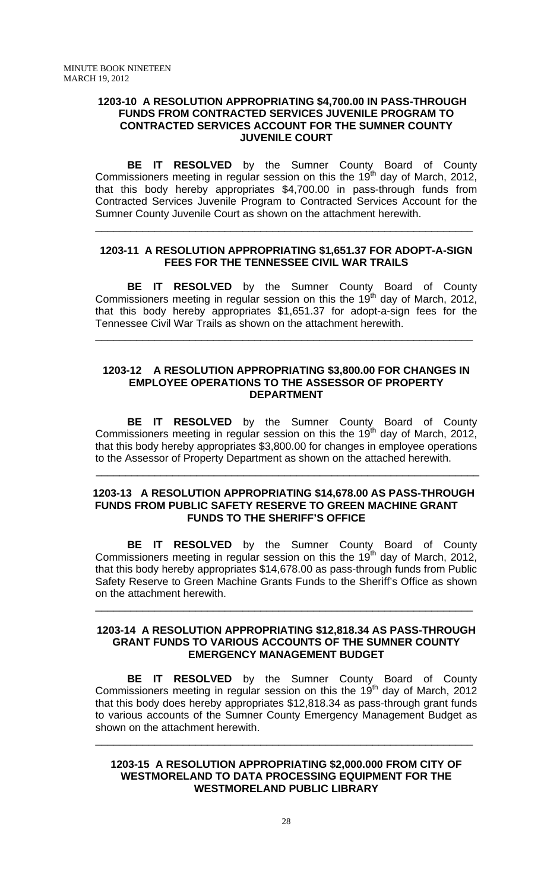#### **1203-10 A RESOLUTION APPROPRIATING \$4,700.00 IN PASS-THROUGH FUNDS FROM CONTRACTED SERVICES JUVENILE PROGRAM TO CONTRACTED SERVICES ACCOUNT FOR THE SUMNER COUNTY JUVENILE COURT**

**BE IT RESOLVED** by the Sumner County Board of County Commissioners meeting in regular session on this the 19<sup>th</sup> day of March, 2012, that this body hereby appropriates \$4,700.00 in pass-through funds from Contracted Services Juvenile Program to Contracted Services Account for the Sumner County Juvenile Court as shown on the attachment herewith.

## **1203-11 A RESOLUTION APPROPRIATING \$1,651.37 FOR ADOPT-A-SIGN FEES FOR THE TENNESSEE CIVIL WAR TRAILS**

\_\_\_\_\_\_\_\_\_\_\_\_\_\_\_\_\_\_\_\_\_\_\_\_\_\_\_\_\_\_\_\_\_\_\_\_\_\_\_\_\_\_\_\_\_\_\_\_\_\_\_\_\_\_\_\_\_\_\_\_\_\_\_\_

**BE IT RESOLVED** by the Sumner County Board of County Commissioners meeting in regular session on this the 19<sup>th</sup> day of March, 2012, that this body hereby appropriates \$1,651.37 for adopt-a-sign fees for the Tennessee Civil War Trails as shown on the attachment herewith.

\_\_\_\_\_\_\_\_\_\_\_\_\_\_\_\_\_\_\_\_\_\_\_\_\_\_\_\_\_\_\_\_\_\_\_\_\_\_\_\_\_\_\_\_\_\_\_\_\_\_\_\_\_\_\_\_\_\_\_\_\_\_\_\_

#### **1203-12 A RESOLUTION APPROPRIATING \$3,800.00 FOR CHANGES IN EMPLOYEE OPERATIONS TO THE ASSESSOR OF PROPERTY DEPARTMENT**

**BE IT RESOLVED** by the Sumner County Board of County Commissioners meeting in regular session on this the 19<sup>th</sup> day of March, 2012, that this body hereby appropriates \$3,800.00 for changes in employee operations to the Assessor of Property Department as shown on the attached herewith.

## **1203-13 A RESOLUTION APPROPRIATING \$14,678.00 AS PASS-THROUGH FUNDS FROM PUBLIC SAFETY RESERVE TO GREEN MACHINE GRANT FUNDS TO THE SHERIFF'S OFFICE**

 $\overline{\phantom{a}}$  ,  $\overline{\phantom{a}}$  ,  $\overline{\phantom{a}}$  ,  $\overline{\phantom{a}}$  ,  $\overline{\phantom{a}}$  ,  $\overline{\phantom{a}}$  ,  $\overline{\phantom{a}}$  ,  $\overline{\phantom{a}}$  ,  $\overline{\phantom{a}}$  ,  $\overline{\phantom{a}}$  ,  $\overline{\phantom{a}}$  ,  $\overline{\phantom{a}}$  ,  $\overline{\phantom{a}}$  ,  $\overline{\phantom{a}}$  ,  $\overline{\phantom{a}}$  ,  $\overline{\phantom{a}}$ 

**BE IT RESOLVED** by the Sumner County Board of County Commissioners meeting in regular session on this the 19<sup>th</sup> day of March, 2012, that this body hereby appropriates \$14,678.00 as pass-through funds from Public Safety Reserve to Green Machine Grants Funds to the Sheriff's Office as shown on the attachment herewith.

## **1203-14 A RESOLUTION APPROPRIATING \$12,818.34 AS PASS-THROUGH GRANT FUNDS TO VARIOUS ACCOUNTS OF THE SUMNER COUNTY EMERGENCY MANAGEMENT BUDGET**

\_\_\_\_\_\_\_\_\_\_\_\_\_\_\_\_\_\_\_\_\_\_\_\_\_\_\_\_\_\_\_\_\_\_\_\_\_\_\_\_\_\_\_\_\_\_\_\_\_\_\_\_\_\_\_\_\_\_\_\_\_\_\_\_

 **BE IT RESOLVED** by the Sumner County Board of County Commissioners meeting in regular session on this the  $19<sup>th</sup>$  day of March, 2012 that this body does hereby appropriates \$12,818.34 as pass-through grant funds to various accounts of the Sumner County Emergency Management Budget as shown on the attachment herewith.

## **1203-15 A RESOLUTION APPROPRIATING \$2,000.000 FROM CITY OF WESTMORELAND TO DATA PROCESSING EQUIPMENT FOR THE WESTMORELAND PUBLIC LIBRARY**

\_\_\_\_\_\_\_\_\_\_\_\_\_\_\_\_\_\_\_\_\_\_\_\_\_\_\_\_\_\_\_\_\_\_\_\_\_\_\_\_\_\_\_\_\_\_\_\_\_\_\_\_\_\_\_\_\_\_\_\_\_\_\_\_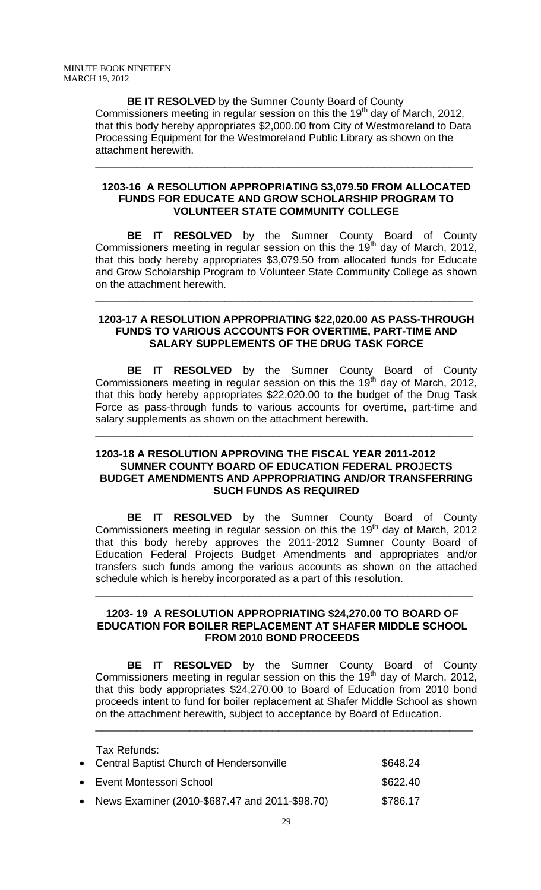**BE IT RESOLVED** by the Sumner County Board of County Commissioners meeting in regular session on this the  $19<sup>th</sup>$  day of March, 2012, that this body hereby appropriates \$2,000.00 from City of Westmoreland to Data Processing Equipment for the Westmoreland Public Library as shown on the attachment herewith.

\_\_\_\_\_\_\_\_\_\_\_\_\_\_\_\_\_\_\_\_\_\_\_\_\_\_\_\_\_\_\_\_\_\_\_\_\_\_\_\_\_\_\_\_\_\_\_\_\_\_\_\_\_\_\_\_\_\_\_\_\_\_\_\_

## **1203-16 A RESOLUTION APPROPRIATING \$3,079.50 FROM ALLOCATED FUNDS FOR EDUCATE AND GROW SCHOLARSHIP PROGRAM TO VOLUNTEER STATE COMMUNITY COLLEGE**

 **BE IT RESOLVED** by the Sumner County Board of County Commissioners meeting in regular session on this the 19<sup>th</sup> day of March, 2012, that this body hereby appropriates \$3,079.50 from allocated funds for Educate and Grow Scholarship Program to Volunteer State Community College as shown on the attachment herewith.

#### **1203-17 A RESOLUTION APPROPRIATING \$22,020.00 AS PASS-THROUGH FUNDS TO VARIOUS ACCOUNTS FOR OVERTIME, PART-TIME AND SALARY SUPPLEMENTS OF THE DRUG TASK FORCE**

\_\_\_\_\_\_\_\_\_\_\_\_\_\_\_\_\_\_\_\_\_\_\_\_\_\_\_\_\_\_\_\_\_\_\_\_\_\_\_\_\_\_\_\_\_\_\_\_\_\_\_\_\_\_\_\_\_\_\_\_\_\_\_\_

 **BE IT RESOLVED** by the Sumner County Board of County Commissioners meeting in regular session on this the 19<sup>th</sup> day of March, 2012, that this body hereby appropriates \$22,020.00 to the budget of the Drug Task Force as pass-through funds to various accounts for overtime, part-time and salary supplements as shown on the attachment herewith.

# **1203-18 A RESOLUTION APPROVING THE FISCAL YEAR 2011-2012 SUMNER COUNTY BOARD OF EDUCATION FEDERAL PROJECTS BUDGET AMENDMENTS AND APPROPRIATING AND/OR TRANSFERRING SUCH FUNDS AS REQUIRED**

\_\_\_\_\_\_\_\_\_\_\_\_\_\_\_\_\_\_\_\_\_\_\_\_\_\_\_\_\_\_\_\_\_\_\_\_\_\_\_\_\_\_\_\_\_\_\_\_\_\_\_\_\_\_\_\_\_\_\_\_\_\_\_\_

 **BE IT RESOLVED** by the Sumner County Board of County Commissioners meeting in regular session on this the  $19<sup>th</sup>$  day of March, 2012 that this body hereby approves the 2011-2012 Sumner County Board of Education Federal Projects Budget Amendments and appropriates and/or transfers such funds among the various accounts as shown on the attached schedule which is hereby incorporated as a part of this resolution.

# **1203- 19 A RESOLUTION APPROPRIATING \$24,270.00 TO BOARD OF EDUCATION FOR BOILER REPLACEMENT AT SHAFER MIDDLE SCHOOL FROM 2010 BOND PROCEEDS**

\_\_\_\_\_\_\_\_\_\_\_\_\_\_\_\_\_\_\_\_\_\_\_\_\_\_\_\_\_\_\_\_\_\_\_\_\_\_\_\_\_\_\_\_\_\_\_\_\_\_\_\_\_\_\_\_\_\_\_\_\_\_\_\_

 **BE IT RESOLVED** by the Sumner County Board of County Commissioners meeting in regular session on this the 19<sup>th</sup> day of March, 2012, that this body appropriates \$24,270.00 to Board of Education from 2010 bond proceeds intent to fund for boiler replacement at Shafer Middle School as shown on the attachment herewith, subject to acceptance by Board of Education. \_\_\_\_\_\_\_\_\_\_\_\_\_\_\_\_\_\_\_\_\_\_\_\_\_\_\_\_\_\_\_\_\_\_\_\_\_\_\_\_\_\_\_\_\_\_\_\_\_\_\_\_\_\_\_\_\_\_\_\_\_\_\_\_

| Tax Refunds:<br>• Central Baptist Church of Hendersonville | \$648.24 |
|------------------------------------------------------------|----------|
| • Event Montessori School                                  | \$622.40 |
| • News Examiner (2010-\$687.47 and 2011-\$98.70)           | \$786.17 |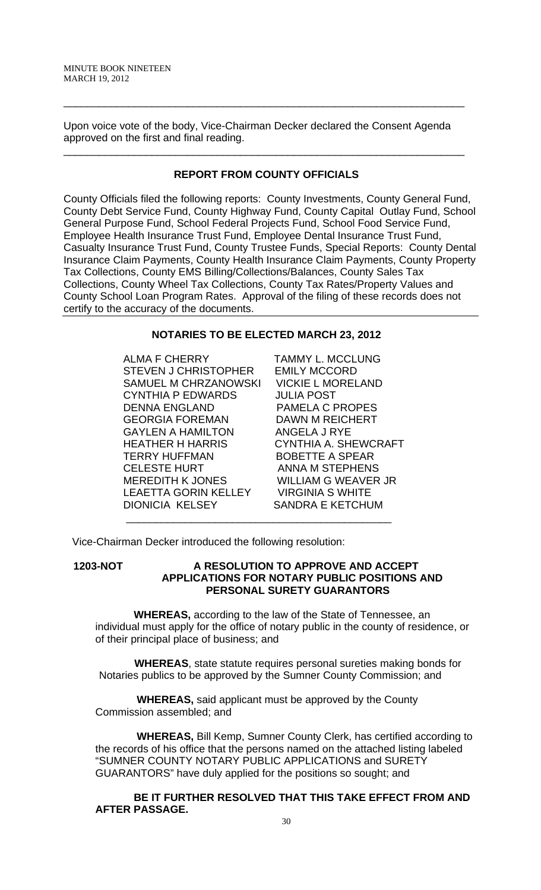Upon voice vote of the body, Vice-Chairman Decker declared the Consent Agenda approved on the first and final reading.

\_\_\_\_\_\_\_\_\_\_\_\_\_\_\_\_\_\_\_\_\_\_\_\_\_\_\_\_\_\_\_\_\_\_\_\_\_\_\_\_\_\_\_\_\_\_\_\_\_\_\_\_\_\_\_\_\_\_\_\_\_\_\_\_\_\_\_\_

# **REPORT FROM COUNTY OFFICIALS**

\_\_\_\_\_\_\_\_\_\_\_\_\_\_\_\_\_\_\_\_\_\_\_\_\_\_\_\_\_\_\_\_\_\_\_\_\_\_\_\_\_\_\_\_\_\_\_\_\_\_\_\_\_\_\_\_\_\_\_\_\_\_\_\_\_\_\_\_

County Officials filed the following reports: County Investments, County General Fund, County Debt Service Fund, County Highway Fund, County Capital Outlay Fund, School General Purpose Fund, School Federal Projects Fund, School Food Service Fund, Employee Health Insurance Trust Fund, Employee Dental Insurance Trust Fund, Casualty Insurance Trust Fund, County Trustee Funds, Special Reports: County Dental Insurance Claim Payments, County Health Insurance Claim Payments, County Property Tax Collections, County EMS Billing/Collections/Balances, County Sales Tax Collections, County Wheel Tax Collections, County Tax Rates/Property Values and County School Loan Program Rates. Approval of the filing of these records does not certify to the accuracy of the documents.

# **NOTARIES TO BE ELECTED MARCH 23, 2012**

ALMA F CHERRY TAMMY L. MCCLUNG STEVEN J CHRISTOPHER EMILY MCCORD SAMUEL M CHRZANOWSKI VICKIE L MORELAND CYNTHIA P EDWARDS JULIA POST DENNA ENGLAND PAMELA C PROPES GEORGIA FOREMAN DAWN M REICHERT GAYLEN A HAMILTON ANGELA J RYE HEATHER H HARRIS CYNTHIA A. SHEWCRAFT TERRY HUFFMAN BOBETTE A SPEAR CELESTE HURT ANNA M STEPHENS MEREDITH K JONES WILLIAM G WEAVER JR LEAETTA GORIN KELLEY VIRGINIA S WHITE DIONICIA KELSEY SANDRA E KETCHUM

Vice-Chairman Decker introduced the following resolution:

# **1203-NOT A RESOLUTION TO APPROVE AND ACCEPT APPLICATIONS FOR NOTARY PUBLIC POSITIONS AND PERSONAL SURETY GUARANTORS**

 **WHEREAS,** according to the law of the State of Tennessee, an individual must apply for the office of notary public in the county of residence, or of their principal place of business; and

 **WHEREAS**, state statute requires personal sureties making bonds for Notaries publics to be approved by the Sumner County Commission; and

 **WHEREAS,** said applicant must be approved by the County Commission assembled; and

\_\_\_\_\_\_\_\_\_\_\_\_\_\_\_\_\_\_\_\_\_\_\_\_\_\_\_\_\_\_\_\_\_\_\_\_\_\_\_\_\_\_\_\_\_

 **WHEREAS,** Bill Kemp, Sumner County Clerk, has certified according to the records of his office that the persons named on the attached listing labeled "SUMNER COUNTY NOTARY PUBLIC APPLICATIONS and SURETY GUARANTORS" have duly applied for the positions so sought; and

 **BE IT FURTHER RESOLVED THAT THIS TAKE EFFECT FROM AND AFTER PASSAGE.**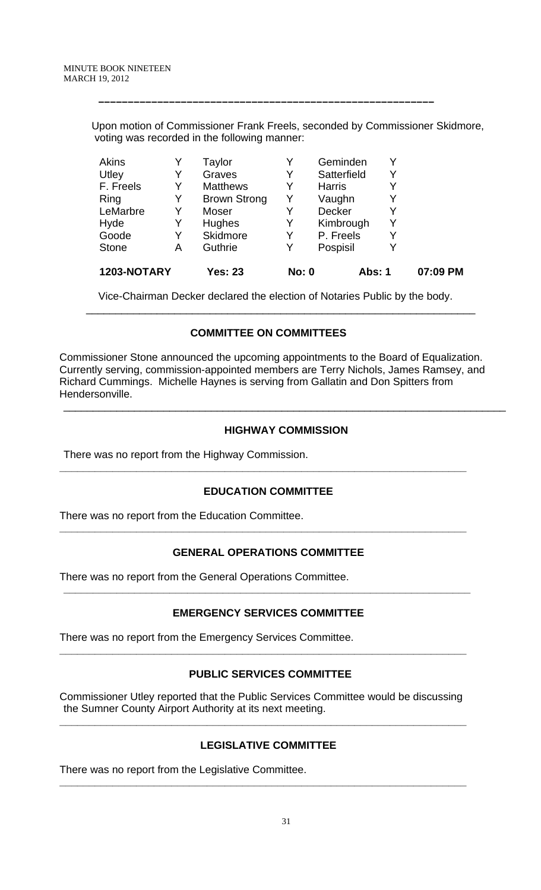Upon motion of Commissioner Frank Freels, seconded by Commissioner Skidmore, voting was recorded in the following manner:

 **–––––––––––––––––––––––––––––––––––––––––––––––––––––––––**

| 1203-NOTARY  |   | <b>Yes: 23</b>      | <b>No: 0</b> | Abs: 1        |   | 07:09 PM |
|--------------|---|---------------------|--------------|---------------|---|----------|
| <b>Stone</b> | Α | Guthrie             | Y            | Pospisil      | Y |          |
| Goode        | Y | Skidmore            | Y            | P. Freels     | Y |          |
| Hyde         | Y | <b>Hughes</b>       | Y            | Kimbrough     | Y |          |
| LeMarbre     | Y | Moser               |              | <b>Decker</b> | Y |          |
| Ring         | Y | <b>Brown Strong</b> | Y            | Vaughn        | Y |          |
| F. Freels    | Y | <b>Matthews</b>     | Y            | <b>Harris</b> | Y |          |
| Utley        | Y | Graves              | Y            | Satterfield   | Y |          |
| Akins        |   | Taylor              |              | Geminden      | Y |          |

Vice-Chairman Decker declared the election of Notaries Public by the body.

# **COMMITTEE ON COMMITTEES**

 $\frac{1}{\sqrt{2}}$  ,  $\frac{1}{\sqrt{2}}$  ,  $\frac{1}{\sqrt{2}}$  ,  $\frac{1}{\sqrt{2}}$  ,  $\frac{1}{\sqrt{2}}$  ,  $\frac{1}{\sqrt{2}}$  ,  $\frac{1}{\sqrt{2}}$  ,  $\frac{1}{\sqrt{2}}$  ,  $\frac{1}{\sqrt{2}}$  ,  $\frac{1}{\sqrt{2}}$  ,  $\frac{1}{\sqrt{2}}$  ,  $\frac{1}{\sqrt{2}}$  ,  $\frac{1}{\sqrt{2}}$  ,  $\frac{1}{\sqrt{2}}$  ,  $\frac{1}{\sqrt{2}}$ 

Commissioner Stone announced the upcoming appointments to the Board of Equalization. Currently serving, commission-appointed members are Terry Nichols, James Ramsey, and Richard Cummings. Michelle Haynes is serving from Gallatin and Don Spitters from Hendersonville.

# **HIGHWAY COMMISSION**

\_\_\_\_\_\_\_\_\_\_\_\_\_\_\_\_\_\_\_\_\_\_\_\_\_\_\_\_\_\_\_\_\_\_\_\_\_\_\_\_\_\_\_\_\_\_\_\_\_\_\_\_\_\_\_\_\_\_\_\_\_\_\_\_\_\_\_\_\_\_\_\_\_\_\_

There was no report from the Highway Commission.

## **EDUCATION COMMITTEE**

**\_\_\_\_\_\_\_\_\_\_\_\_\_\_\_\_\_\_\_\_\_\_\_\_\_\_\_\_\_\_\_\_\_\_\_\_\_\_\_\_\_\_\_\_\_\_\_\_\_\_\_\_\_\_\_\_\_\_\_\_\_\_\_\_\_\_\_\_\_** 

There was no report from the Education Committee.

# **GENERAL OPERATIONS COMMITTEE**

**\_\_\_\_\_\_\_\_\_\_\_\_\_\_\_\_\_\_\_\_\_\_\_\_\_\_\_\_\_\_\_\_\_\_\_\_\_\_\_\_\_\_\_\_\_\_\_\_\_\_\_\_\_\_\_\_\_\_\_\_\_\_\_\_\_\_\_\_\_** 

There was no report from the General Operations Committee.

# **EMERGENCY SERVICES COMMITTEE**

**\_\_\_\_\_\_\_\_\_\_\_\_\_\_\_\_\_\_\_\_\_\_\_\_\_\_\_\_\_\_\_\_\_\_\_\_\_\_\_\_\_\_\_\_\_\_\_\_\_\_\_\_\_\_\_\_\_\_\_\_\_\_\_\_\_\_\_\_\_** 

There was no report from the Emergency Services Committee.

# **PUBLIC SERVICES COMMITTEE**

**\_\_\_\_\_\_\_\_\_\_\_\_\_\_\_\_\_\_\_\_\_\_\_\_\_\_\_\_\_\_\_\_\_\_\_\_\_\_\_\_\_\_\_\_\_\_\_\_\_\_\_\_\_\_\_\_\_\_\_\_\_\_\_\_\_\_\_\_\_** 

Commissioner Utley reported that the Public Services Committee would be discussing the Sumner County Airport Authority at its next meeting.

**\_\_\_\_\_\_\_\_\_\_\_\_\_\_\_\_\_\_\_\_\_\_\_\_\_\_\_\_\_\_\_\_\_\_\_\_\_\_\_\_\_\_\_\_\_\_\_\_\_\_\_\_\_\_\_\_\_\_\_\_\_\_\_\_\_\_\_\_\_** 

## **LEGISLATIVE COMMITTEE**

**\_\_\_\_\_\_\_\_\_\_\_\_\_\_\_\_\_\_\_\_\_\_\_\_\_\_\_\_\_\_\_\_\_\_\_\_\_\_\_\_\_\_\_\_\_\_\_\_\_\_\_\_\_\_\_\_\_\_\_\_\_\_\_\_\_\_\_\_\_** 

There was no report from the Legislative Committee.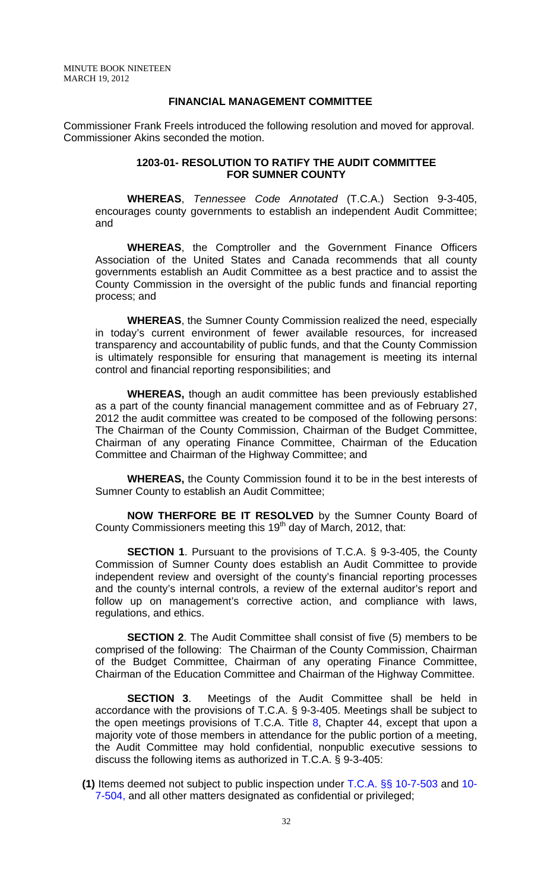## **FINANCIAL MANAGEMENT COMMITTEE**

Commissioner Frank Freels introduced the following resolution and moved for approval. Commissioner Akins seconded the motion.

## **1203-01- RESOLUTION TO RATIFY THE AUDIT COMMITTEE FOR SUMNER COUNTY**

**WHEREAS**, *Tennessee Code Annotated* (T.C.A.) Section 9-3-405, encourages county governments to establish an independent Audit Committee; and

**WHEREAS**, the Comptroller and the Government Finance Officers Association of the United States and Canada recommends that all county governments establish an Audit Committee as a best practice and to assist the County Commission in the oversight of the public funds and financial reporting process; and

**WHEREAS**, the Sumner County Commission realized the need, especially in today's current environment of fewer available resources, for increased transparency and accountability of public funds, and that the County Commission is ultimately responsible for ensuring that management is meeting its internal control and financial reporting responsibilities; and

**WHEREAS,** though an audit committee has been previously established as a part of the county financial management committee and as of February 27, 2012 the audit committee was created to be composed of the following persons: The Chairman of the County Commission, Chairman of the Budget Committee, Chairman of any operating Finance Committee, Chairman of the Education Committee and Chairman of the Highway Committee; and

**WHEREAS,** the County Commission found it to be in the best interests of Sumner County to establish an Audit Committee;

**NOW THERFORE BE IT RESOLVED** by the Sumner County Board of County Commissioners meeting this 19<sup>th</sup> day of March, 2012, that:

**SECTION 1**. Pursuant to the provisions of T.C.A. § 9-3-405, the County Commission of Sumner County does establish an Audit Committee to provide independent review and oversight of the county's financial reporting processes and the county's internal controls, a review of the external auditor's report and follow up on management's corrective action, and compliance with laws, regulations, and ethics.

**SECTION 2.** The Audit Committee shall consist of five (5) members to be comprised of the following: The Chairman of the County Commission, Chairman of the Budget Committee, Chairman of any operating Finance Committee, Chairman of the Education Committee and Chairman of the Highway Committee.

**SECTION 3.** Meetings of the Audit Committee shall be held in accordance with the provisions of T.C.A. § 9-3-405. Meetings shall be subject to the open meetings provisions of T.C.A. Title  $8$ , Chapter 44, except that upon a majority vote of those members in attendance for the public portion of a meeting, the Audit Committee may hold confidential, nonpublic executive sessions to discuss the following items as authorized in T.C.A. § 9-3-405:

**(1)** Items deemed not subject to public inspection under T.C.A. §§ 10-7-503 and 10- 7-504, and all other matters designated as confidential or privileged;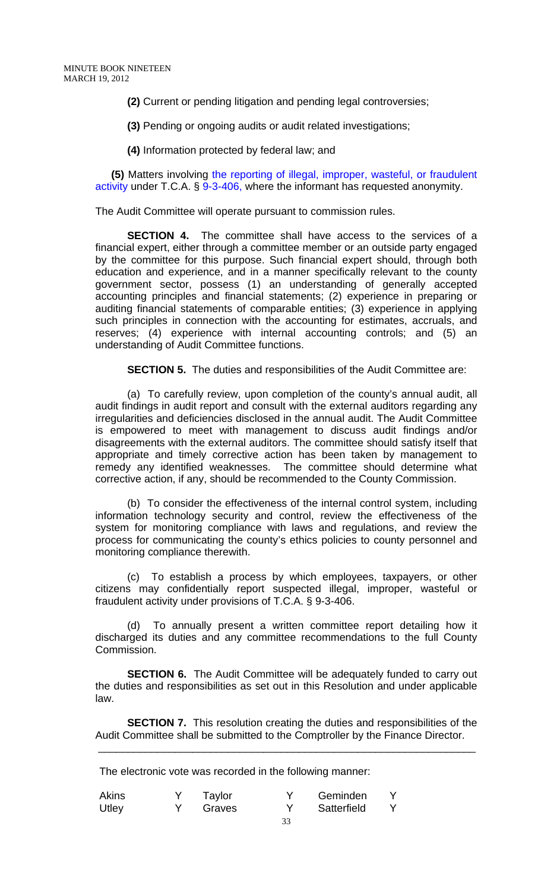**(2)** Current or pending litigation and pending legal controversies;

**(3)** Pending or ongoing audits or audit related investigations;

**(4)** Information protected by federal law; and

**(5)** Matters involving the reporting of illegal, improper, wasteful, or fraudulent activity under T.C.A. § 9-3-406, where the informant has requested anonymity.

The Audit Committee will operate pursuant to commission rules.

**SECTION 4.** The committee shall have access to the services of a financial expert, either through a committee member or an outside party engaged by the committee for this purpose. Such financial expert should, through both education and experience, and in a manner specifically relevant to the county government sector, possess (1) an understanding of generally accepted accounting principles and financial statements; (2) experience in preparing or auditing financial statements of comparable entities; (3) experience in applying such principles in connection with the accounting for estimates, accruals, and reserves; (4) experience with internal accounting controls; and (5) an understanding of Audit Committee functions.

**SECTION 5.** The duties and responsibilities of the Audit Committee are:

(a) To carefully review, upon completion of the county's annual audit, all audit findings in audit report and consult with the external auditors regarding any irregularities and deficiencies disclosed in the annual audit. The Audit Committee is empowered to meet with management to discuss audit findings and/or disagreements with the external auditors. The committee should satisfy itself that appropriate and timely corrective action has been taken by management to remedy any identified weaknesses. The committee should determine what corrective action, if any, should be recommended to the County Commission.

(b) To consider the effectiveness of the internal control system, including information technology security and control, review the effectiveness of the system for monitoring compliance with laws and regulations, and review the process for communicating the county's ethics policies to county personnel and monitoring compliance therewith.

(c) To establish a process by which employees, taxpayers, or other citizens may confidentially report suspected illegal, improper, wasteful or fraudulent activity under provisions of T.C.A. § 9-3-406.

To annually present a written committee report detailing how it discharged its duties and any committee recommendations to the full County Commission.

**SECTION 6.** The Audit Committee will be adequately funded to carry out the duties and responsibilities as set out in this Resolution and under applicable law.

**SECTION 7.** This resolution creating the duties and responsibilities of the Audit Committee shall be submitted to the Comptroller by the Finance Director.

\_\_\_\_\_\_\_\_\_\_\_\_\_\_\_\_\_\_\_\_\_\_\_\_\_\_\_\_\_\_\_\_\_\_\_\_\_\_\_\_\_\_\_\_\_\_\_\_\_\_\_\_\_\_\_\_\_\_\_\_\_\_\_\_

The electronic vote was recorded in the following manner:

| <b>Akins</b> | Taylor | Geminden    |  |
|--------------|--------|-------------|--|
| Utley        | Graves | Satterfield |  |
|              |        |             |  |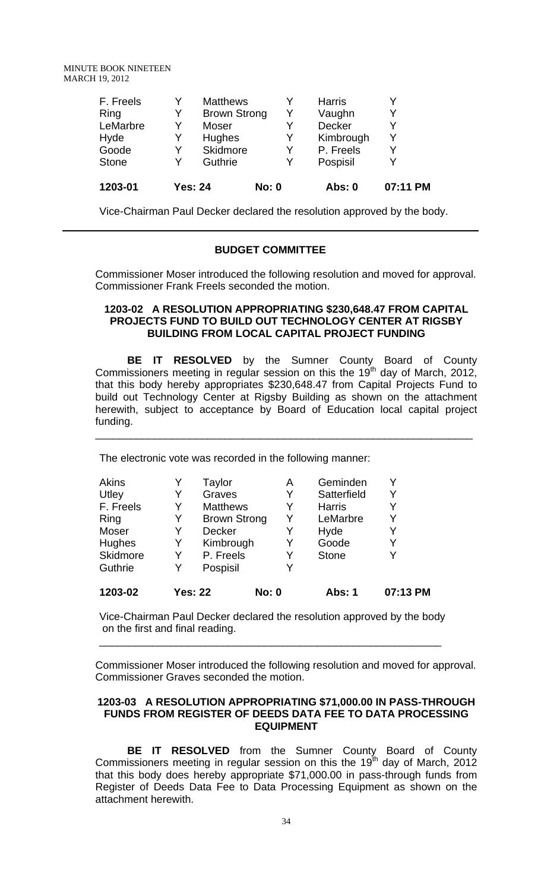MINUTE BOOK NINETEEN MARCH 19, 2012

| 1203-01      |    | <b>Yes: 24</b>      | <b>No: 0</b> | Abs: 0        | 07:11 PM |
|--------------|----|---------------------|--------------|---------------|----------|
| <b>Stone</b> | Y  | Guthrie             | Y            | Pospisil      |          |
| Goode        | Y  | Skidmore            | Y            | P. Freels     | Y        |
| Hyde         | Y  | <b>Hughes</b>       | Y            | Kimbrough     | Y        |
| LeMarbre     | Y  | Moser               | Y            | Decker        | v        |
| Ring         | Y. | <b>Brown Strong</b> | Y            | Vaughn        | Y        |
| F. Freels    | Y  | <b>Matthews</b>     | Υ            | <b>Harris</b> | Y        |

Vice-Chairman Paul Decker declared the resolution approved by the body.

## **BUDGET COMMITTEE**

Commissioner Moser introduced the following resolution and moved for approval. Commissioner Frank Freels seconded the motion.

#### **1203-02 A RESOLUTION APPROPRIATING \$230,648.47 FROM CAPITAL PROJECTS FUND TO BUILD OUT TECHNOLOGY CENTER AT RIGSBY BUILDING FROM LOCAL CAPITAL PROJECT FUNDING**

**BE IT RESOLVED** by the Sumner County Board of County Commissioners meeting in regular session on this the 19<sup>th</sup> day of March, 2012, that this body hereby appropriates \$230,648.47 from Capital Projects Fund to build out Technology Center at Rigsby Building as shown on the attachment herewith, subject to acceptance by Board of Education local capital project funding.

\_\_\_\_\_\_\_\_\_\_\_\_\_\_\_\_\_\_\_\_\_\_\_\_\_\_\_\_\_\_\_\_\_\_\_\_\_\_\_\_\_\_\_\_\_\_\_\_\_\_\_\_\_\_\_\_\_\_\_\_\_\_\_\_

The electronic vote was recorded in the following manner:

| 1203-02   | <b>Yes: 22</b> |                     | <b>No: 0</b> | <b>Abs: 1</b> | 07:13 PM |
|-----------|----------------|---------------------|--------------|---------------|----------|
| Guthrie   | Y              | Pospisil            |              |               |          |
| Skidmore  | Y              | P. Freels           | Y            | <b>Stone</b>  |          |
| Hughes    | Y              | Kimbrough           | Y            | Goode         | Y        |
| Moser     | Y              | <b>Decker</b>       | Y            | Hyde          | Y        |
| Ring      | Y              | <b>Brown Strong</b> | Y            | LeMarbre      | Y        |
| F. Freels | Y              | <b>Matthews</b>     | Y            | <b>Harris</b> |          |
| Utley     | Y              | Graves              | Y            | Satterfield   |          |
| Akins     |                | Taylor              | Α            | Geminden      |          |

Vice-Chairman Paul Decker declared the resolution approved by the body on the first and final reading.

\_\_\_\_\_\_\_\_\_\_\_\_\_\_\_\_\_\_\_\_\_\_\_\_\_\_\_\_\_\_\_\_\_\_\_\_\_\_\_\_\_\_\_\_\_\_\_\_\_\_\_\_\_\_\_\_\_\_

Commissioner Moser introduced the following resolution and moved for approval. Commissioner Graves seconded the motion.

## **1203-03 A RESOLUTION APPROPRIATING \$71,000.00 IN PASS-THROUGH FUNDS FROM REGISTER OF DEEDS DATA FEE TO DATA PROCESSING EQUIPMENT**

**BE IT RESOLVED** from the Sumner County Board of County Commissioners meeting in regular session on this the 19<sup>th</sup> day of March, 2012 that this body does hereby appropriate \$71,000.00 in pass-through funds from Register of Deeds Data Fee to Data Processing Equipment as shown on the attachment herewith.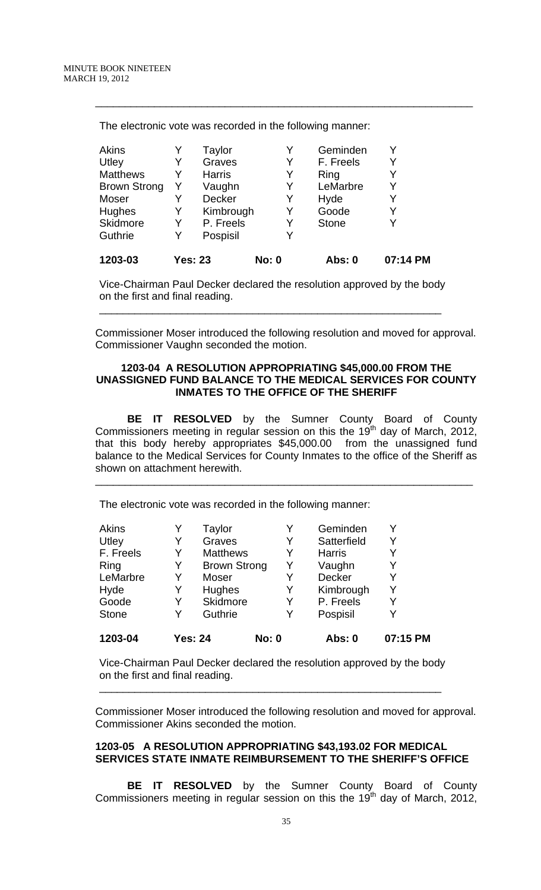| 1203-03             |   | Yes: 23       | <b>No: 0</b> | Abs: 0       | 07:14 PM |
|---------------------|---|---------------|--------------|--------------|----------|
| Guthrie             | Y | Pospisil      | Y            |              |          |
| Skidmore            | Y | P. Freels     | Y            | <b>Stone</b> |          |
| Hughes              | Y | Kimbrough     | Y            | Goode        |          |
| Moser               |   | <b>Decker</b> | Y            | Hyde         |          |
| <b>Brown Strong</b> | Y | Vaughn        | Y            | LeMarbre     | Y        |
| <b>Matthews</b>     |   | <b>Harris</b> | Y            | Ring         |          |
| Utley               | Y | Graves        | Y            | F. Freels    |          |
| Akins               |   | Taylor        | Y            | Geminden     |          |

\_\_\_\_\_\_\_\_\_\_\_\_\_\_\_\_\_\_\_\_\_\_\_\_\_\_\_\_\_\_\_\_\_\_\_\_\_\_\_\_\_\_\_\_\_\_\_\_\_\_\_\_\_\_\_\_\_\_\_\_\_\_\_\_

The electronic vote was recorded in the following manner:

Vice-Chairman Paul Decker declared the resolution approved by the body on the first and final reading.

\_\_\_\_\_\_\_\_\_\_\_\_\_\_\_\_\_\_\_\_\_\_\_\_\_\_\_\_\_\_\_\_\_\_\_\_\_\_\_\_\_\_\_\_\_\_\_\_\_\_\_\_\_\_\_\_\_\_

Commissioner Moser introduced the following resolution and moved for approval. Commissioner Vaughn seconded the motion.

## **1203-04 A RESOLUTION APPROPRIATING \$45,000.00 FROM THE UNASSIGNED FUND BALANCE TO THE MEDICAL SERVICES FOR COUNTY INMATES TO THE OFFICE OF THE SHERIFF**

**BE IT RESOLVED** by the Sumner County Board of County Commissioners meeting in regular session on this the 19<sup>th</sup> day of March, 2012, that this body hereby appropriates \$45,000.00 from the unassigned fund balance to the Medical Services for County Inmates to the office of the Sheriff as shown on attachment herewith.

\_\_\_\_\_\_\_\_\_\_\_\_\_\_\_\_\_\_\_\_\_\_\_\_\_\_\_\_\_\_\_\_\_\_\_\_\_\_\_\_\_\_\_\_\_\_\_\_\_\_\_\_\_\_\_\_\_\_\_\_\_\_\_\_

The electronic vote was recorded in the following manner:

| <b>Akins</b> |                | Taylor              | Y            | Geminden      | Y        |
|--------------|----------------|---------------------|--------------|---------------|----------|
| Utley        | Y              | Graves              | Y            | Satterfield   | Y        |
| F. Freels    | Y              | <b>Matthews</b>     | Y            | <b>Harris</b> | Y        |
| Ring         | Y              | <b>Brown Strong</b> | Y            | Vaughn        | Y        |
| LeMarbre     | Y              | Moser               | Y            | Decker        | Y        |
| Hyde         | Y              | Hughes              | Y            | Kimbrough     | Y        |
| Goode        | Y              | Skidmore            | Y            | P. Freels     | Y        |
| <b>Stone</b> | Y              | Guthrie             | Y            | Pospisil      | v        |
| 1203-04      | <b>Yes: 24</b> |                     | <b>No: 0</b> | Abs: 0        | 07:15 PM |

Vice-Chairman Paul Decker declared the resolution approved by the body on the first and final reading.

\_\_\_\_\_\_\_\_\_\_\_\_\_\_\_\_\_\_\_\_\_\_\_\_\_\_\_\_\_\_\_\_\_\_\_\_\_\_\_\_\_\_\_\_\_\_\_\_\_\_\_\_\_\_\_\_\_\_

Commissioner Moser introduced the following resolution and moved for approval. Commissioner Akins seconded the motion.

## **1203-05 A RESOLUTION APPROPRIATING \$43,193.02 FOR MEDICAL SERVICES STATE INMATE REIMBURSEMENT TO THE SHERIFF'S OFFICE**

**BE IT RESOLVED** by the Sumner County Board of County Commissioners meeting in regular session on this the 19<sup>th</sup> day of March, 2012,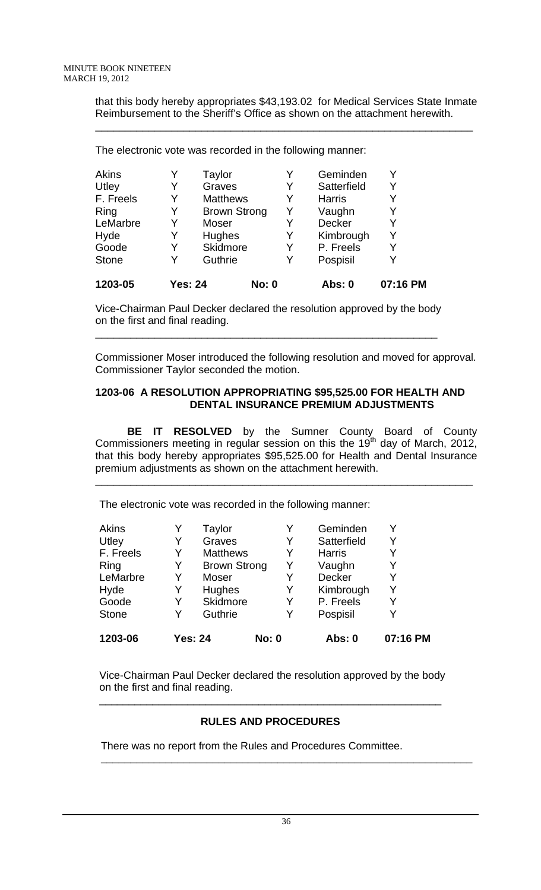that this body hereby appropriates \$43,193.02 for Medical Services State Inmate Reimbursement to the Sheriff's Office as shown on the attachment herewith.

\_\_\_\_\_\_\_\_\_\_\_\_\_\_\_\_\_\_\_\_\_\_\_\_\_\_\_\_\_\_\_\_\_\_\_\_\_\_\_\_\_\_\_\_\_\_\_\_\_\_\_\_\_\_\_\_\_\_\_\_\_\_\_\_

The electronic vote was recorded in the following manner:

| 1203-05      | <b>Yes: 24</b> |                     | <b>No: 0</b> | Abs: 0        | 07:16 PM |
|--------------|----------------|---------------------|--------------|---------------|----------|
| <b>Stone</b> | Y              | Guthrie             | Y            | Pospisil      | Υ        |
| Goode        | Y              | Skidmore            | Y            | P. Freels     | Y        |
| Hyde         | Y              | <b>Hughes</b>       | Y            | Kimbrough     | Y        |
| LeMarbre     | Y              | Moser               | Y            | <b>Decker</b> | Y        |
| Ring         | Y              | <b>Brown Strong</b> | Y            | Vaughn        | Y        |
| F. Freels    | Y              | <b>Matthews</b>     | Y            | <b>Harris</b> |          |
| Utley        | Y              | Graves              | Y            | Satterfield   | Y        |
| Akins        | Y              | Taylor              | Y            | Geminden      | Υ        |
|              |                |                     |              |               |          |

Vice-Chairman Paul Decker declared the resolution approved by the body on the first and final reading.

\_\_\_\_\_\_\_\_\_\_\_\_\_\_\_\_\_\_\_\_\_\_\_\_\_\_\_\_\_\_\_\_\_\_\_\_\_\_\_\_\_\_\_\_\_\_\_\_\_\_\_\_\_\_\_\_\_\_

Commissioner Moser introduced the following resolution and moved for approval. Commissioner Taylor seconded the motion.

# **1203-06 A RESOLUTION APPROPRIATING \$95,525.00 FOR HEALTH AND DENTAL INSURANCE PREMIUM ADJUSTMENTS**

**BE IT RESOLVED** by the Sumner County Board of County Commissioners meeting in regular session on this the 19<sup>th</sup> day of March, 2012, that this body hereby appropriates \$95,525.00 for Health and Dental Insurance premium adjustments as shown on the attachment herewith.

\_\_\_\_\_\_\_\_\_\_\_\_\_\_\_\_\_\_\_\_\_\_\_\_\_\_\_\_\_\_\_\_\_\_\_\_\_\_\_\_\_\_\_\_\_\_\_\_\_\_\_\_\_\_\_\_\_\_\_\_\_\_\_\_

The electronic vote was recorded in the following manner:

| Akins        |                | Taylor              |              | Geminden      | Y        |
|--------------|----------------|---------------------|--------------|---------------|----------|
| Utley        | Y              | Graves              | Y            | Satterfield   | Y        |
| F. Freels    | Y              | <b>Matthews</b>     | Y            | <b>Harris</b> | Y        |
| Ring         | Y              | <b>Brown Strong</b> | Y            | Vaughn        | Y        |
| LeMarbre     | Y              | Moser               | Y            | <b>Decker</b> | Y        |
| Hyde         | Y              | Hughes              | Y            | Kimbrough     | Y        |
| Goode        | Y              | Skidmore            | Y            | P. Freels     | Y        |
| <b>Stone</b> | Y              | Guthrie             | Y            | Pospisil      | Y        |
| 1203-06      | <b>Yes: 24</b> |                     | <b>No: 0</b> | Abs: 0        | 07:16 PM |

Vice-Chairman Paul Decker declared the resolution approved by the body on the first and final reading. \_\_\_\_\_\_\_\_\_\_\_\_\_\_\_\_\_\_\_\_\_\_\_\_\_\_\_\_\_\_\_\_\_\_\_\_\_\_\_\_\_\_\_\_\_\_\_\_\_\_\_\_\_\_\_\_\_\_

# **RULES AND PROCEDURES**

 **\_\_\_\_\_\_\_\_\_\_\_\_\_\_\_\_\_\_\_\_\_\_\_\_\_\_\_\_\_\_\_\_\_\_\_\_\_\_\_\_\_\_\_\_\_\_\_\_\_\_\_\_\_\_\_\_\_\_\_\_\_\_\_** 

There was no report from the Rules and Procedures Committee.